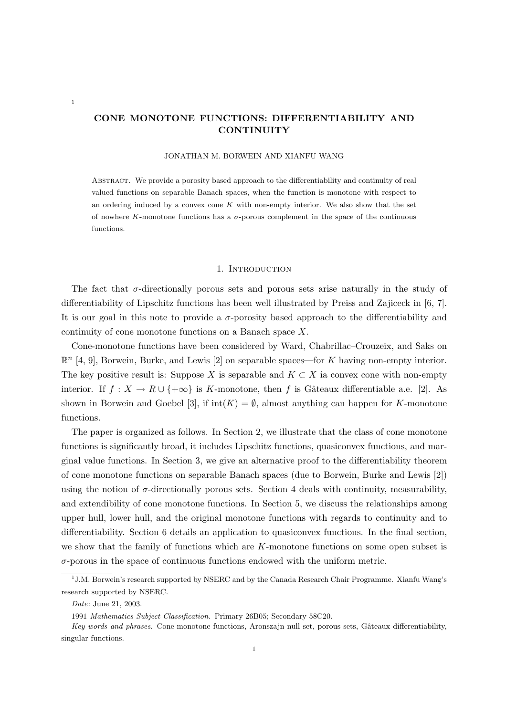# CONE MONOTONE FUNCTIONS: DIFFERENTIABILITY AND **CONTINUITY**

### JONATHAN M. BORWEIN AND XIANFU WANG

Abstract. We provide a porosity based approach to the differentiability and continuity of real valued functions on separable Banach spaces, when the function is monotone with respect to an ordering induced by a convex cone  $K$  with non-empty interior. We also show that the set of nowhere K-monotone functions has a  $\sigma$ -porous complement in the space of the continuous functions.

#### 1. INTRODUCTION

The fact that  $\sigma$ -directionally porous sets and porous sets arise naturally in the study of differentiability of Lipschitz functions has been well illustrated by Preiss and Zajiceck in [6, 7]. It is our goal in this note to provide a  $\sigma$ -porosity based approach to the differentiability and continuity of cone monotone functions on a Banach space X.

Cone-monotone functions have been considered by Ward, Chabrillac–Crouzeix, and Saks on  $\mathbb{R}^n$  [4, 9], Borwein, Burke, and Lewis [2] on separable spaces—for K having non-empty interior. The key positive result is: Suppose X is separable and  $K \subset X$  ia convex cone with non-empty interior. If  $f: X \to R \cup \{+\infty\}$  is K-monotone, then f is Gâteaux differentiable a.e. [2]. As shown in Borwein and Goebel [3], if  $\text{int}(K) = \emptyset$ , almost anything can happen for K-monotone functions.

The paper is organized as follows. In Section 2, we illustrate that the class of cone monotone functions is significantly broad, it includes Lipschitz functions, quasiconvex functions, and marginal value functions. In Section 3, we give an alternative proof to the differentiability theorem of cone monotone functions on separable Banach spaces (due to Borwein, Burke and Lewis [2]) using the notion of  $\sigma$ -directionally porous sets. Section 4 deals with continuity, measurability, and extendibility of cone monotone functions. In Section 5, we discuss the relationships among upper hull, lower hull, and the original monotone functions with regards to continuity and to differentiability. Section 6 details an application to quasiconvex functions. In the final section, we show that the family of functions which are K-monotone functions on some open subset is  $\sigma$ -porous in the space of continuous functions endowed with the uniform metric.

1

<sup>&</sup>lt;sup>1</sup>J.M. Borwein's research supported by NSERC and by the Canada Research Chair Programme. Xianfu Wang's research supported by NSERC.

Date: June 21, 2003.

<sup>1991</sup> Mathematics Subject Classification. Primary 26B05; Secondary 58C20.

Key words and phrases. Cone-monotone functions, Aronszajn null set, porous sets, Gâteaux differentiability, singular functions.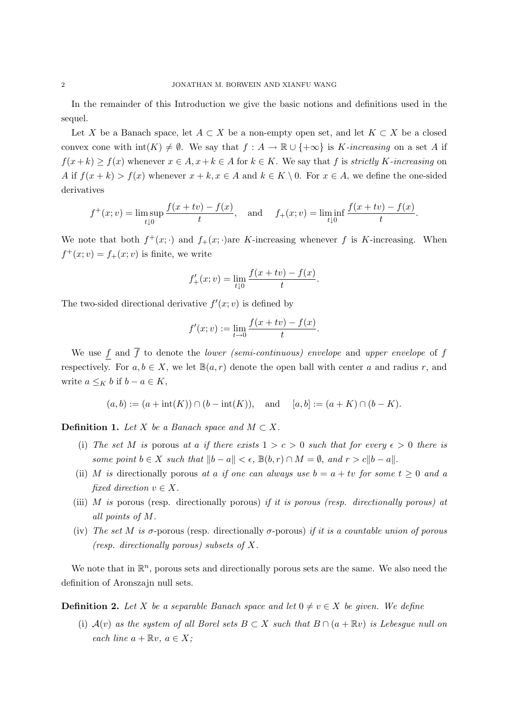In the remainder of this Introduction we give the basic notions and definitions used in the sequel.

Let X be a Banach space, let  $A \subset X$  be a non-empty open set, and let  $K \subset X$  be a closed convex cone with  $\text{int}(K) \neq \emptyset$ . We say that  $f : A \to \mathbb{R} \cup \{+\infty\}$  is K-increasing on a set A if  $f(x+k) \ge f(x)$  whenever  $x \in A$ ,  $x+k \in A$  for  $k \in K$ . We say that f is strictly K-increasing on A if  $f(x + k) > f(x)$  whenever  $x + k, x \in A$  and  $k \in K \setminus 0$ . For  $x \in A$ , we define the one-sided derivatives

$$
f^+(x; v) = \limsup_{t \downarrow 0} \frac{f(x + tv) - f(x)}{t}
$$
, and  $f_+(x; v) = \liminf_{t \downarrow 0} \frac{f(x + tv) - f(x)}{t}$ .

We note that both  $f^+(x; \cdot)$  and  $f_+(x; \cdot)$  are K-increasing whenever f is K-increasing. When  $f^+(x; v) = f_+(x; v)$  is finite, we write

$$
f'_{+}(x; v) = \lim_{t \downarrow 0} \frac{f(x + tv) - f(x)}{t}.
$$

The two-sided directional derivative  $f'(x; v)$  is defined by

$$
f'(x; v) := \lim_{t \to 0} \frac{f(x + tv) - f(x)}{t}.
$$

We use f and  $\overline{f}$  to denote the *lower (semi-continuous)* envelope and upper envelope of f respectively. For  $a, b \in X$ , we let  $\mathbb{B}(a, r)$  denote the open ball with center a and radius r, and write  $a \leq_K b$  if  $b - a \in K$ ,

$$
(a,b) := (a + \text{int}(K)) \cap (b - \text{int}(K)),
$$
 and  $[a,b] := (a + K) \cap (b - K).$ 

**Definition 1.** Let X be a Banach space and  $M \subset X$ .

- (i) The set M is porous at a if there exists  $1 > c > 0$  such that for every  $\epsilon > 0$  there is some point  $b \in X$  such that  $||b - a|| < \epsilon$ ,  $\mathbb{B}(b, r) \cap M = \emptyset$ , and  $r > c||b - a||$ .
- (ii) M is directionally porous at a if one can always use  $b = a + tv$  for some  $t \ge 0$  and a fixed direction  $v \in X$ .
- (iii) M is porous (resp. directionally porous) if it is porous (resp. directionally porous) at all points of M.
- (iv) The set M is  $\sigma$ -porous (resp. directionally  $\sigma$ -porous) if it is a countable union of porous (resp. directionally porous) subsets of X.

We note that in  $\mathbb{R}^n$ , porous sets and directionally porous sets are the same. We also need the definition of Aronszajn null sets.

**Definition 2.** Let X be a separable Banach space and let  $0 \neq v \in X$  be given. We define

(i)  $\mathcal{A}(v)$  as the system of all Borel sets  $B \subset X$  such that  $B \cap (a + \mathbb{R}v)$  is Lebesgue null on each line  $a + \mathbb{R}v$ ,  $a \in X$ ;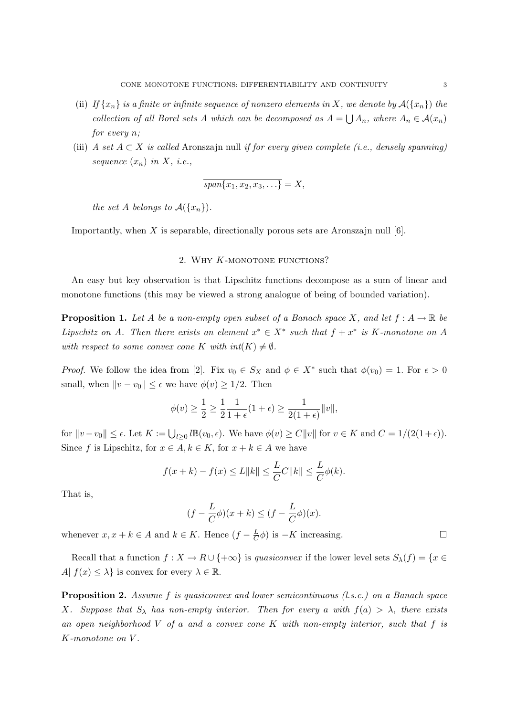- (ii) If  $\{x_n\}$  is a finite or infinite sequence of nonzero elements in X, we denote by  $\mathcal{A}(\{x_n\})$  the collection of all Borel sets A which can be decomposed as  $A =$  $\tilde{\phantom{a}}$  $A_n$ , where  $A_n \in \mathcal{A}(x_n)$ for every n;
- (iii) A set  $A \subset X$  is called Aronszajn null if for every given complete (i.e., densely spanning) sequence  $(x_n)$  in X, i.e.,

$$
\overline{span\{x_1,x_2,x_3,\ldots\}}=X,
$$

the set A belongs to  $\mathcal{A}(\lbrace x_n \rbrace)$ .

Importantly, when  $X$  is separable, directionally porous sets are Aronszajn null  $[6]$ .

#### 2. WHY K-MONOTONE FUNCTIONS?

An easy but key observation is that Lipschitz functions decompose as a sum of linear and monotone functions (this may be viewed a strong analogue of being of bounded variation).

**Proposition 1.** Let A be a non-empty open subset of a Banach space X, and let  $f : A \to \mathbb{R}$  be Lipschitz on A. Then there exists an element  $x^* \in X^*$  such that  $f + x^*$  is K-monotone on A with respect to some convex cone K with  $int(K) \neq \emptyset$ .

*Proof.* We follow the idea from [2]. Fix  $v_0 \in S_X$  and  $\phi \in X^*$  such that  $\phi(v_0) = 1$ . For  $\epsilon > 0$ small, when  $||v - v_0|| \leq \epsilon$  we have  $\phi(v) \geq 1/2$ . Then

$$
\phi(v) \ge \frac{1}{2} \ge \frac{1}{2} \frac{1}{1+\epsilon} (1+\epsilon) \ge \frac{1}{2(1+\epsilon)} ||v||,
$$

for  $||v - v_0|| \le \epsilon$ . Let  $K := \bigcup_{l \ge 0} l \mathbb{B}(v_0, \epsilon)$ . We have  $\phi(v) \ge C ||v||$  for  $v \in K$  and  $C = 1/(2(1+\epsilon))$ . Since f is Lipschitz, for  $x \in A, k \in K$ , for  $x + k \in A$  we have

$$
f(x + k) - f(x) \le L ||k|| \le \frac{L}{C}C ||k|| \le \frac{L}{C}\phi(k).
$$

That is,

$$
(f - \frac{L}{C}\phi)(x + k) \le (f - \frac{L}{C}\phi)(x).
$$

whenever  $x, x + k \in A$  and  $k \in K$ . Hence  $(f - \frac{L}{C})$  $\frac{L}{C}\phi$ ) is  $-K$  increasing.  $\square$ 

Recall that a function  $f: X \to R \cup \{+\infty\}$  is quasiconvex if the lower level sets  $S_\lambda(f) = \{x \in$ A|  $f(x) \leq \lambda$ } is convex for every  $\lambda \in \mathbb{R}$ .

Proposition 2. Assume f is quasiconvex and lower semicontinuous (l.s.c.) on a Banach space X. Suppose that  $S_\lambda$  has non-empty interior. Then for every a with  $f(a) > \lambda$ , there exists an open neighborhood  $V$  of a and a convex cone  $K$  with non-empty interior, such that  $f$  is K-monotone on V .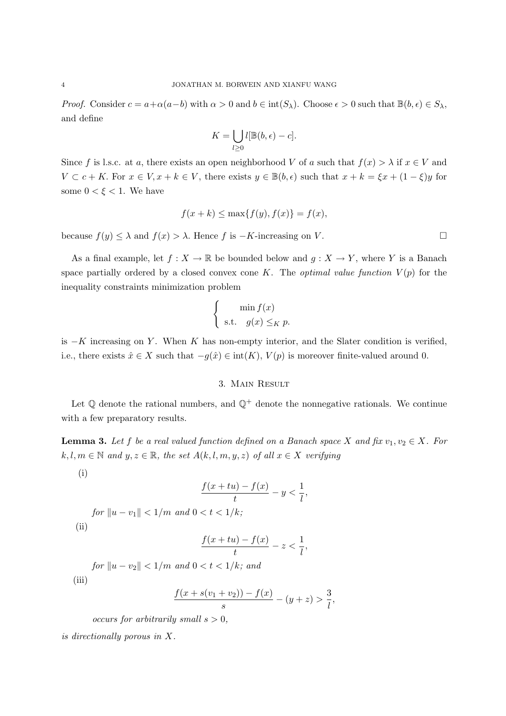*Proof.* Consider  $c = a + \alpha(a-b)$  with  $\alpha > 0$  and  $b \in \text{int}(S_\lambda)$ . Choose  $\epsilon > 0$  such that  $\mathbb{B}(b, \epsilon) \in S_\lambda$ , and define

$$
K = \bigcup_{l \geq 0} l[\mathbb{B}(b, \epsilon) - c].
$$

Since f is l.s.c. at a, there exists an open neighborhood V of a such that  $f(x) > \lambda$  if  $x \in V$  and  $V \subset c + K$ . For  $x \in V, x + k \in V$ , there exists  $y \in \mathbb{B}(b, \epsilon)$  such that  $x + k = \xi x + (1 - \xi)y$  for some  $0 < \xi < 1$ . We have

$$
f(x+k) \le \max\{f(y), f(x)\} = f(x),
$$

because  $f(y) \leq \lambda$  and  $f(x) > \lambda$ . Hence f is  $-K$ -increasing on V.

As a final example, let  $f : X \to \mathbb{R}$  be bounded below and  $g : X \to Y$ , where Y is a Banach space partially ordered by a closed convex cone K. The *optimal value function*  $V(p)$  for the inequality constraints minimization problem

$$
\begin{cases}\n\min f(x) \\
\text{s.t.} \quad g(x) \leq_K p.\n\end{cases}
$$

is  $-K$  increasing on Y. When K has non-empty interior, and the Slater condition is verified, i.e., there exists  $\hat{x} \in X$  such that  $-g(\hat{x}) \in \text{int}(K)$ ,  $V(p)$  is moreover finite-valued around 0.

#### 3. Main Result

Let  $\mathbb Q$  denote the rational numbers, and  $\mathbb Q^+$  denote the nonnegative rationals. We continue with a few preparatory results.

**Lemma 3.** Let f be a real valued function defined on a Banach space X and fix  $v_1, v_2 \in X$ . For  $k, l, m \in \mathbb{N}$  and  $y, z \in \mathbb{R}$ , the set  $A(k, l, m, y, z)$  of all  $x \in X$  verifying

(i)

$$
\frac{f(x+tu)-f(x)}{t}-y<\frac{1}{l},
$$

for 
$$
||u - v_1|| < 1/m
$$
 and  $0 < t < 1/k$ ;  
(ii)

$$
\frac{f(x+tu)-f(x)}{t}-z<\frac{1}{l},
$$

for  $||u - v_2|| < 1/m$  and  $0 < t < 1/k$ ; and (iii)

$$
\frac{f(x+s(v_1+v_2))-f(x)}{s}-(y+z)>\frac{3}{l},
$$

occurs for arbitrarily small  $s > 0$ ,

is directionally porous in X.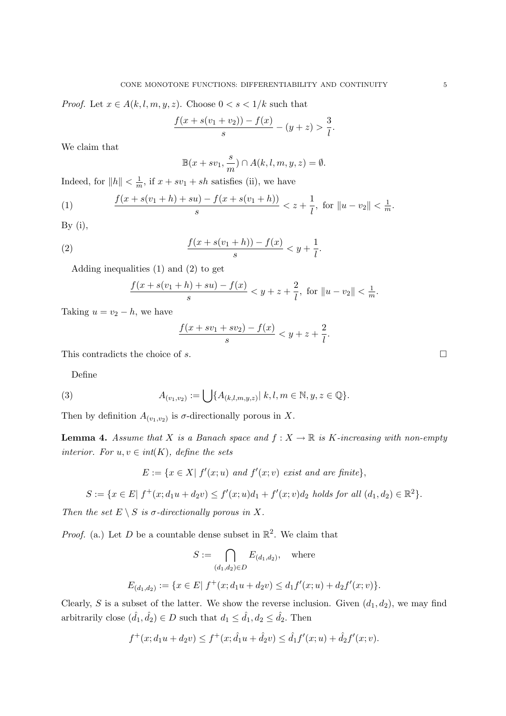*Proof.* Let  $x \in A(k, l, m, y, z)$ . Choose  $0 < s < 1/k$  such that

$$
\frac{f(x+s(v_1+v_2))-f(x)}{s}-(y+z)>\frac{3}{l}.
$$

We claim that

$$
\mathbb{B}(x+sv_1,\frac{s}{m})\cap A(k,l,m,y,z)=\emptyset.
$$

Indeed, for  $||h|| < \frac{1}{n}$  $\frac{1}{m}$ , if  $x + sv_1 + sh$  satisfies (ii), we have

(1) 
$$
\frac{f(x+s(v_1+h)+su)-f(x+s(v_1+h))}{s} < z+\frac{1}{l}, \text{ for } \|u-v_2\| < \frac{1}{m}.
$$

By  $(i)$ ,

(2) 
$$
\frac{f(x+s(v_1+h)) - f(x)}{s} < y + \frac{1}{l}.
$$

Adding inequalities (1) and (2) to get

$$
\frac{f(x+s(v_1+h)+su)-f(x)}{s} < y+z+\frac{2}{l}, \text{ for } \|u-v_2\| < \frac{1}{m}.
$$

Taking  $u = v_2 - h$ , we have

$$
\frac{f(x + sv_1 + sv_2) - f(x)}{s} < y + z + \frac{2}{l}.
$$

This contradicts the choice of s.  $\Box$ 

Define

(3) 
$$
A_{(v_1,v_2)} := \bigcup \{ A_{(k,l,m,y,z)} | k, l, m \in \mathbb{N}, y, z \in \mathbb{Q} \}.
$$

Then by definition  $A_{(v_1,v_2)}$  is  $\sigma$ -directionally porous in X.

**Lemma 4.** Assume that X is a Banach space and  $f: X \to \mathbb{R}$  is K-increasing with non-empty interior. For  $u, v \in int(K)$ , define the sets

$$
E := \{ x \in X | f'(x; u) \text{ and } f'(x; v) \text{ exist and are finite} \},
$$

$$
S := \{ x \in E | f^+(x; d_1u + d_2v) \le f'(x; u)d_1 + f'(x; v)d_2 \text{ holds for all } (d_1, d_2) \in \mathbb{R}^2 \}.
$$

Then the set  $E \setminus S$  is  $\sigma$ -directionally porous in X.

*Proof.* (a.) Let D be a countable dense subset in  $\mathbb{R}^2$ . We claim that

$$
S := \bigcap_{(d_1, d_2) \in D} E_{(d_1, d_2)}, \quad \text{where}
$$
  

$$
E_{(d_1, d_2)} := \{x \in E | f^+(x; d_1u + d_2v) \le d_1f'(x; u) + d_2f'(x; v)\}.
$$

Clearly, S is a subset of the latter. We show the reverse inclusion. Given  $(d_1, d_2)$ , we may find arbitrarily close  $(\hat{d}_1, \hat{d}_2) \in D$  such that  $d_1 \leq \hat{d}_1, d_2 \leq \hat{d}_2$ . Then

$$
f^+(x; d_1u + d_2v) \le f^+(x; \hat{d}_1u + \hat{d}_2v) \le \hat{d}_1f'(x; u) + \hat{d}_2f'(x; v).
$$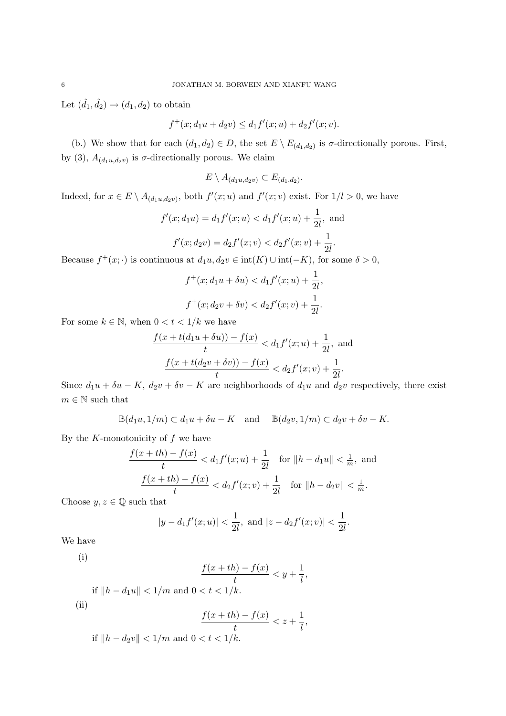Let  $(\hat{d}_1, \hat{d}_2) \rightarrow (d_1, d_2)$  to obtain

$$
f^+(x; d_1u + d_2v) \le d_1f'(x; u) + d_2f'(x; v).
$$

(b.) We show that for each  $(d_1, d_2) \in D$ , the set  $E \setminus E_{(d_1, d_2)}$  is  $\sigma$ -directionally porous. First, by (3),  $A_{(d_1u,d_2v)}$  is  $\sigma$ -directionally porous. We claim

$$
E \setminus A_{(d_1u,d_2v)} \subset E_{(d_1,d_2)}.
$$

Indeed, for  $x \in E \setminus A_{(d_1u,d_2v)}$ , both  $f'(x;u)$  and  $f'(x;v)$  exist. For  $1/l > 0$ , we have

$$
f'(x; d_1u) = d_1f'(x; u) < d_1f'(x; u) + \frac{1}{2l}, \text{ and}
$$
\n
$$
f'(x; d_2v) = d_2f'(x; v) < d_2f'(x; v) + \frac{1}{2l}.
$$

Because  $f^+(x; \cdot)$  is continuous at  $d_1u, d_2v \in \text{int}(K) \cup \text{int}(-K)$ , for some  $\delta > 0$ ,

$$
f^+(x; d_1u + \delta u) < d_1f'(x; u) + \frac{1}{2l},
$$
\n
$$
f^+(x; d_2v + \delta v) < d_2f'(x; v) + \frac{1}{2l}.
$$

For some  $k \in \mathbb{N}$ , when  $0 < t < 1/k$  we have

$$
\frac{f(x+t(d_1u+\delta u))-f(x)}{t} < d_1f'(x;u) + \frac{1}{2l}, \text{ and}
$$

$$
\frac{f(x+t(d_2v+\delta v))-f(x)}{t} < d_2f'(x;v) + \frac{1}{2l}.
$$

Since  $d_1u + \delta u - K$ ,  $d_2v + \delta v - K$  are neighborhoods of  $d_1u$  and  $d_2v$  respectively, there exist  $m \in \mathbb{N}$  such that

$$
\mathbb{B}(d_1u, 1/m) \subset d_1u + \delta u - K \quad \text{and} \quad \mathbb{B}(d_2v, 1/m) \subset d_2v + \delta v - K.
$$

By the  $K$ -monotonicity of  $f$  we have

$$
\frac{f(x+th) - f(x)}{t} < d_1 f'(x; u) + \frac{1}{2l} \quad \text{for } \|h - d_1 u\| < \frac{1}{m}, \text{ and}
$$
\n
$$
\frac{f(x+th) - f(x)}{t} < d_2 f'(x; v) + \frac{1}{2l} \quad \text{for } \|h - d_2 v\| < \frac{1}{m}.
$$

Choose  $y, z \in \mathbb{Q}$  such that

$$
|y - d_1 f'(x; u)| < \frac{1}{2l}
$$
, and  $|z - d_2 f'(x; v)| < \frac{1}{2l}$ .

We have

$$
\left( i\right)
$$

$$
\frac{f(x+th)-f(x)}{t} < y + \frac{1}{l},
$$

if  $||h - d_1u|| < 1/m$  and  $0 < t < 1/k$ . (ii)

$$
\frac{f(x+th)-f(x)}{t} < z + \frac{1}{l},
$$

if  $||h - d_2v|| < 1/m$  and  $0 < t < 1/k$ .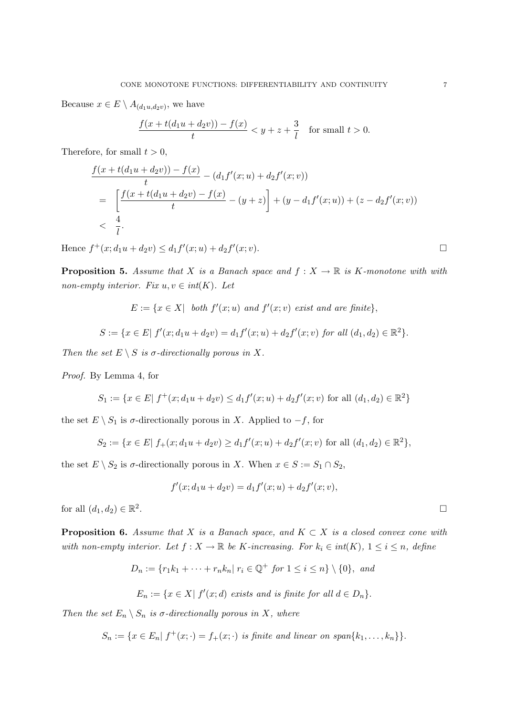Because  $x \in E \setminus A_{(d_1u,d_2v)}$ , we have

$$
\frac{f(x+t(d_1u+d_2v)) - f(x)}{t} < y + z + \frac{3}{l}
$$
 for small  $t > 0$ .

Therefore, for small  $t > 0$ ,

$$
\frac{f(x+t(d_1u+d_2v))-f(x)}{t} - (d_1f'(x;u)+d_2f'(x;v))
$$
\n
$$
= \left[\frac{f(x+t(d_1u+d_2v)-f(x)}{t}-(y+z)\right] + (y-d_1f'(x;u)) + (z-d_2f'(x;v))
$$
\n
$$
< \frac{4}{l}.
$$

Hence  $f^+(x; d_1u + d_2v) \leq d_1f'(x; u) + d_2f'(x; v)$ .

**Proposition 5.** Assume that X is a Banach space and  $f: X \to \mathbb{R}$  is K-monotone with with non-empty interior. Fix  $u, v \in int(K)$ . Let

$$
E := \{ x \in X \mid \text{ both } f'(x; u) \text{ and } f'(x; v) \text{ exist and are finite} \},
$$

$$
S := \{ x \in E \mid f'(x; d_1u + d_2v) = d_1f'(x; u) + d_2f'(x; v) \text{ for all } (d_1, d_2) \in \mathbb{R}^2 \}.
$$

Then the set  $E \setminus S$  is  $\sigma$ -directionally porous in X.

Proof. By Lemma 4, for

$$
S_1 := \{ x \in E | f^+(x; d_1u + d_2v) \le d_1 f'(x; u) + d_2 f'(x; v) \text{ for all } (d_1, d_2) \in \mathbb{R}^2 \}
$$

the set  $E \setminus S_1$  is  $\sigma$ -directionally porous in X. Applied to  $-f$ , for

$$
S_2 := \{ x \in E | f_+(x; d_1u + d_2v) \ge d_1 f'(x; u) + d_2f'(x; v) \text{ for all } (d_1, d_2) \in \mathbb{R}^2 \},
$$

the set  $E \setminus S_2$  is  $\sigma$ -directionally porous in X. When  $x \in S := S_1 \cap S_2$ ,

$$
f'(x; d_1u + d_2v) = d_1f'(x; u) + d_2f'(x; v),
$$

for all  $(d_1, d_2) \in \mathbb{R}^2$ 

**Proposition 6.** Assume that X is a Banach space, and  $K \subset X$  is a closed convex cone with with non-empty interior. Let  $f: X \to \mathbb{R}$  be K-increasing. For  $k_i \in int(K)$ ,  $1 \leq i \leq n$ , define

$$
D_n := \{r_1k_1 + \dots + r_nk_n | r_i \in \mathbb{Q}^+ \text{ for } 1 \le i \le n\} \setminus \{0\}, \text{ and}
$$
  

$$
E_n := \{x \in X | f'(x;d) \text{ exists and is finite for all } d \in D_n\}.
$$

Then the set  $E_n \setminus S_n$  is  $\sigma$ -directionally porous in X, where

 $S_n := \{ x \in E_n | f^+(x; \cdot) = f_+(x; \cdot) \text{ is finite and linear on span}\{k_1, \ldots, k_n\} \}.$ 

. The contract of the contract of the contract of the contract of  $\Box$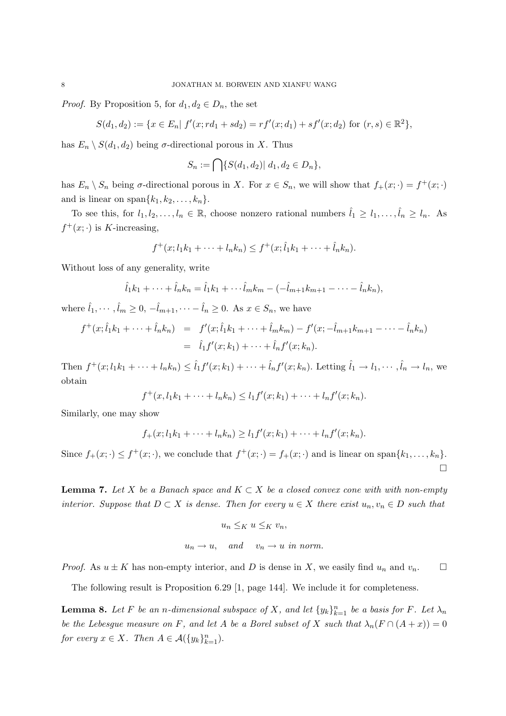*Proof.* By Proposition 5, for  $d_1, d_2 \in D_n$ , the set

$$
S(d_1, d_2) := \{ x \in E_n | f'(x; rd_1 + sd_2) = rf'(x; d_1) + sf'(x; d_2) \text{ for } (r, s) \in \mathbb{R}^2 \},
$$

has  $E_n \setminus S(d_1, d_2)$  being  $\sigma$ -directional porous in X. Thus

$$
S_n := \bigcap \{ S(d_1, d_2) | d_1, d_2 \in D_n \},
$$

has  $E_n \setminus S_n$  being  $\sigma$ -directional porous in X. For  $x \in S_n$ , we will show that  $f_+(x; \cdot) = f^+(x; \cdot)$ and is linear on span $\{k_1, k_2, \ldots, k_n\}.$ 

To see this, for  $l_1, l_2, \ldots, l_n \in \mathbb{R}$ , choose nonzero rational numbers  $\hat{l}_1 \geq l_1, \ldots, \hat{l}_n \geq l_n$ . As  $f^+(x; \cdot)$  is K-increasing,

$$
f^+(x; l_1k_1 + \cdots + l_nk_n) \leq f^+(x; l_1k_1 + \cdots + l_nk_n).
$$

Without loss of any generality, write

$$
\hat{l}_1k_1 + \dots + \hat{l}_nk_n = \hat{l}_1k_1 + \dots + \hat{l}_mk_m - (-\hat{l}_{m+1}k_{m+1} - \dots - \hat{l}_nk_n),
$$

where  $\hat{l}_1, \dots, \hat{l}_m \geq 0, -\hat{l}_{m+1}, \dots -\hat{l}_n \geq 0$ . As  $x \in S_n$ , we have

$$
f^+(x;\hat{l}_1k_1 + \dots + \hat{l}_nk_n) = f'(x;\hat{l}_1k_1 + \dots + \hat{l}_mk_m) - f'(x;\hat{-k}_{m+1}k_{m+1} - \dots - \hat{l}_nk_n)
$$
  
=  $\hat{l}_1f'(x;k_1) + \dots + \hat{l}_nf'(x;k_n).$ 

Then  $f^+(x; l_1k_1 + \cdots + l_nk_n) \leq \hat{l}_1f'(x; k_1) + \cdots + \hat{l}_nf'(x; k_n)$ . Letting  $\hat{l}_1 \to l_1, \cdots, \hat{l}_n \to l_n$ , we obtain

$$
f^+(x, l_1k_1 + \dots + l_nk_n) \le l_1f'(x; k_1) + \dots + l_nf'(x; k_n).
$$

Similarly, one may show

$$
f_+(x; l_1k_1 + \cdots + l_nk_n) \ge l_1f'(x; k_1) + \cdots + l_nf'(x; k_n).
$$

Since  $f_+(x; \cdot) \leq f^+(x; \cdot)$ , we conclude that  $f^+(x; \cdot) = f_+(x; \cdot)$  and is linear on span $\{k_1, \ldots, k_n\}$ . ¤

**Lemma 7.** Let X be a Banach space and  $K \subset X$  be a closed convex cone with with non-empty interior. Suppose that  $D \subset X$  is dense. Then for every  $u \in X$  there exist  $u_n, v_n \in D$  such that

$$
u_n \leq_K u \leq_K v_n,
$$
  

$$
u_n \to u, \quad \text{and} \quad v_n \to u \text{ in norm.}
$$

*Proof.* As  $u \pm K$  has non-empty interior, and D is dense in X, we easily find  $u_n$  and  $v_n$ .  $\Box$ 

The following result is Proposition 6.29 [1, page 144]. We include it for completeness.

**Lemma 8.** Let F be an n-dimensional subspace of X, and let  $\{y_k\}_{k=1}^n$  be a basis for F. Let  $\lambda_n$ be the Lebesgue measure on F, and let A be a Borel subset of X such that  $\lambda_n(F \cap (A + x)) = 0$ for every  $x \in X$ . Then  $A \in \mathcal{A}(\{y_k\}_{k=1}^n)$ .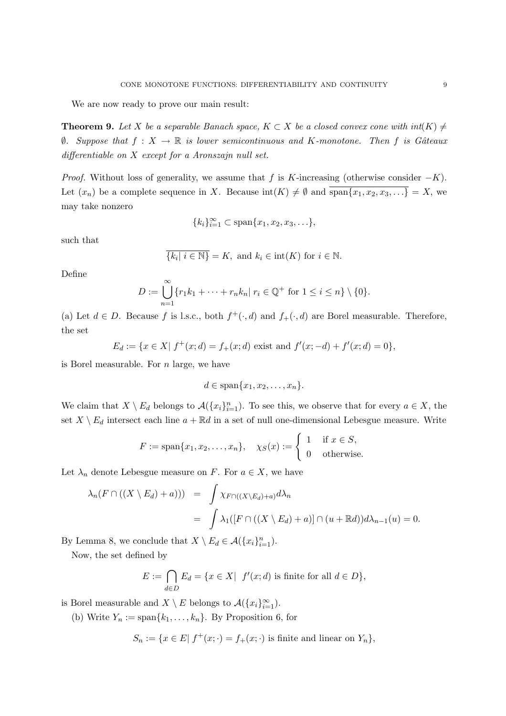We are now ready to prove our main result:

**Theorem 9.** Let X be a separable Banach space,  $K \subset X$  be a closed convex cone with  $int(K) \neq$  $\emptyset$ . Suppose that  $f: X \to \mathbb{R}$  is lower semicontinuous and K-monotone. Then f is Gâteaux differentiable on X except for a Aronszajn null set.

*Proof.* Without loss of generality, we assume that f is K-increasing (otherwise consider  $-K$ ). Let  $(x_n)$  be a complete sequence in X. Because  $\text{int}(K) \neq \emptyset$  and  $\overline{\text{span}\{x_1, x_2, x_3, \ldots\}} = X$ , we may take nonzero

$$
\{k_i\}_{i=1}^{\infty} \subset \text{span}\{x_1, x_2, x_3, \ldots\},\
$$

such that

$$
\{k_i | i \in \mathbb{N}\} = K, \text{ and } k_i \in \text{int}(K) \text{ for } i \in \mathbb{N}.
$$

Define

$$
D := \bigcup_{n=1}^{\infty} \{r_1k_1 + \dots + r_nk_n | r_i \in \mathbb{Q}^+ \text{ for } 1 \leq i \leq n\} \setminus \{0\}.
$$

(a) Let  $d \in D$ . Because f is l.s.c., both  $f^+(\cdot, d)$  and  $f_+(\cdot, d)$  are Borel measurable. Therefore, the set

$$
E_d := \{ x \in X | f^+(x; d) = f_+(x; d) \text{ exist and } f'(x; -d) + f'(x; d) = 0 \},
$$

is Borel measurable. For  $n$  large, we have

$$
d \in \text{span}\{x_1, x_2, \dots, x_n\}.
$$

We claim that  $X \setminus E_d$  belongs to  $\mathcal{A}(\{x_i\}_{i=1}^n)$ . To see this, we observe that for every  $a \in X$ , the set  $X \setminus E_d$  intersect each line  $a + \mathbb{R}d$  in a set of null one-dimensional Lebesgue measure. Write

$$
F := \text{span}\{x_1, x_2, \dots, x_n\}, \quad \chi_S(x) := \begin{cases} 1 & \text{if } x \in S, \\ 0 & \text{otherwise.} \end{cases}
$$

Let  $\lambda_n$  denote Lebesgue measure on F. For  $a \in X$ , we have

$$
\lambda_n(F \cap ((X \setminus E_d) + a))) = \int \chi_{F \cap ((X \setminus E_d) + a)} d\lambda_n
$$
  
= 
$$
\int \lambda_1([F \cap ((X \setminus E_d) + a)] \cap (u + \mathbb{R}d)) d\lambda_{n-1}(u) = 0.
$$

By Lemma 8, we conclude that  $X \setminus E_d \in \mathcal{A}(\{x_i\}_{i=1}^n)$ .

Now, the set defined by

$$
E := \bigcap_{d \in D} E_d = \{ x \in X | f'(x; d) \text{ is finite for all } d \in D \},
$$

is Borel measurable and  $X \setminus E$  belongs to  $\mathcal{A}(\lbrace x_i \rbrace_{i=1}^{\infty})$ .

(b) Write  $Y_n := \text{span}\{k_1, \ldots, k_n\}$ . By Proposition 6, for

 $S_n := \{x \in E | f^+(x; \cdot) = f_+(x; \cdot) \text{ is finite and linear on } Y_n \},\$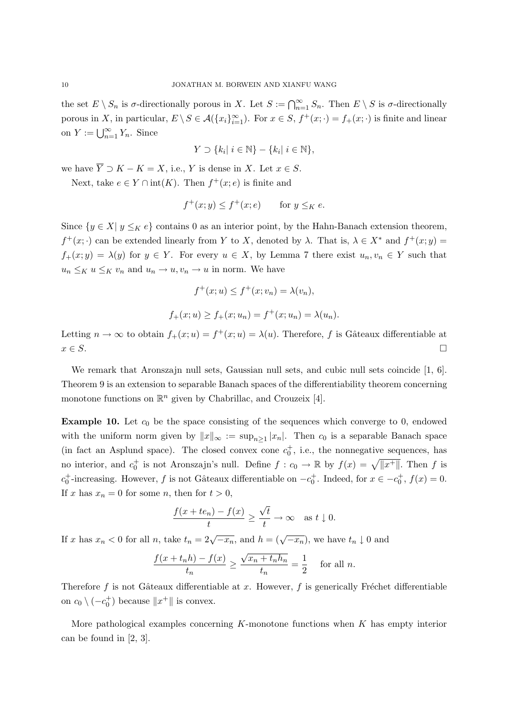the set  $E \setminus S_n$  is  $\sigma$ -directionally porous in X. Let  $S := \bigcap_{n=1}^{\infty} S_n$ . Then  $E \setminus S$  is  $\sigma$ -directionally porous in X, in particular,  $E \setminus S \in \mathcal{A}(\{x_i\}_{i=1}^{\infty})$ . For  $x \in S$ ,  $f^+(x; \cdot) = f_+(x; \cdot)$  is finite and linear on  $Y := \bigcup_{n=1}^{\infty} Y_n$ . Since

$$
Y \supset \{k_i | i \in \mathbb{N}\} - \{k_i | i \in \mathbb{N}\},\
$$

we have  $\overline{Y} \supset K - K = X$ , i.e., Y is dense in X. Let  $x \in S$ .

Next, take  $e \in Y \cap \text{int}(K)$ . Then  $f^+(x; e)$  is finite and

$$
f^+(x;y) \le f^+(x;e) \qquad \text{for } y \leq_K e.
$$

Since  $\{y \in X | y \leq_K e\}$  contains 0 as an interior point, by the Hahn-Banach extension theorem,  $f^+(x; \cdot)$  can be extended linearly from Y to X, denoted by  $\lambda$ . That is,  $\lambda \in X^*$  and  $f^+(x; y)$  $f_+(x; y) = \lambda(y)$  for  $y \in Y$ . For every  $u \in X$ , by Lemma 7 there exist  $u_n, v_n \in Y$  such that  $u_n \leq_K u \leq_K v_n$  and  $u_n \to u, v_n \to u$  in norm. We have

$$
f^{+}(x; u) \le f^{+}(x; v_{n}) = \lambda(v_{n}),
$$
  

$$
f_{+}(x; u) \ge f_{+}(x; u_{n}) = f^{+}(x; u_{n}) = \lambda(u_{n}).
$$

Letting  $n \to \infty$  to obtain  $f_+(x; u) = f^+(x; u) = \lambda(u)$ . Therefore, f is Gâteaux differentiable at  $x \in S$ .

We remark that Aronszajn null sets, Gaussian null sets, and cubic null sets coincide [1, 6]. Theorem 9 is an extension to separable Banach spaces of the differentiability theorem concerning monotone functions on  $\mathbb{R}^n$  given by Chabrillac, and Crouzeix [4].

**Example 10.** Let  $c_0$  be the space consisting of the sequences which converge to 0, endowed with the uniform norm given by  $||x||_{\infty} := \sup_{n \geq 1} |x_n|$ . Then  $c_0$  is a separable Banach space (in fact an Asplund space). The closed convex cone  $c_0^+$ , i.e., the nonnegative sequences, has no interior, and  $c_0^+$  is not Aronszajn's null. Define  $f : c_0 \to \mathbb{R}$  by  $f(x) = \sqrt{||x^+||}$ . Then f is  $c_0^+$ -increasing. However, f is not Gâteaux differentiable on  $-c_0^+$ . Indeed, for  $x \in -c_0^+$ ,  $f(x) = 0$ . If x has  $x_n = 0$  for some n, then for  $t > 0$ ,

$$
\frac{f(x+te_n)-f(x)}{t}\geq \frac{\sqrt{t}}{t}\to\infty \text{ as } t\downarrow 0.
$$

If x has  $x_n < 0$  for all n, take  $t_n = 2\sqrt{-x_n}$ , and  $h = (\sqrt{-x_n})$ , we have  $t_n \downarrow 0$  and

$$
\frac{f(x+t_nh)-f(x)}{t_n} \ge \frac{\sqrt{x_n+t_nh_n}}{t_n} = \frac{1}{2} \quad \text{for all } n.
$$

Therefore  $f$  is not Gâteaux differentiable at x. However,  $f$  is generically Fréchet differentiable on  $c_0 \setminus (-c_0^+)$  because  $||x^+||$  is convex.

More pathological examples concerning  $K$ -monotone functions when  $K$  has empty interior can be found in [2, 3].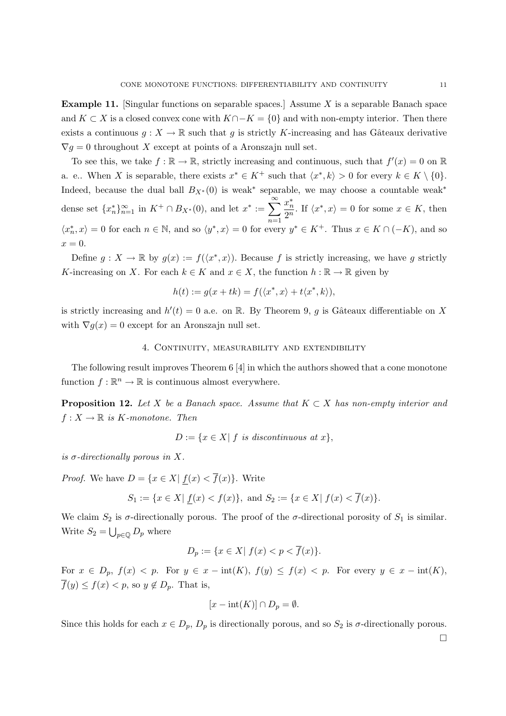**Example 11.** [Singular functions on separable spaces.] Assume X is a separable Banach space and  $K \subset X$  is a closed convex cone with  $K \cap -K = \{0\}$  and with non-empty interior. Then there exists a continuous  $g: X \to \mathbb{R}$  such that g is strictly K-increasing and has Gâteaux derivative  $\nabla g = 0$  throughout X except at points of a Aronszajn null set.

To see this, we take  $f : \mathbb{R} \to \mathbb{R}$ , strictly increasing and continuous, such that  $f'(x) = 0$  on  $\mathbb{R}$ a. e.. When X is separable, there exists  $x^* \in K^+$  such that  $\langle x^*, k \rangle > 0$  for every  $k \in K \setminus \{0\}$ . Indeed, because the dual ball  $B_{X^*}(0)$  is weak<sup>\*</sup> separable, we may choose a countable weak<sup>\*</sup> dense set  ${x_n^*}_{n=1}^{\infty}$  in  $K^+ \cap B_{X^*}(0)$ , and let  $x^* := \sum_{n=1}^{\infty}$  $n=1$  $x_n^*$  $rac{x_n}{2^n}$ . If  $\langle x^*, x \rangle = 0$  for some  $x \in K$ , then  $\langle x_n^*, x \rangle = 0$  for each  $n \in \mathbb{N}$ , and so  $\langle y^*, x \rangle = 0$  for every  $y^* \in K^+$ . Thus  $x \in K \cap (-K)$ , and so  $x=0.$ 

Define  $g: X \to \mathbb{R}$  by  $g(x) := f(\langle x^*, x \rangle)$ . Because f is strictly increasing, we have g strictly K-increasing on X. For each  $k \in K$  and  $x \in X$ , the function  $h : \mathbb{R} \to \mathbb{R}$  given by

$$
h(t) := g(x + tk) = f(\langle x^*, x \rangle + t\langle x^*, k \rangle),
$$

is strictly increasing and  $h'(t) = 0$  a.e. on R. By Theorem 9, g is Gâteaux differentiable on X with  $\nabla g(x) = 0$  except for an Aronszajn null set.

#### 4. Continuity, measurability and extendibility

The following result improves Theorem 6 [4] in which the authors showed that a cone monotone function  $f : \mathbb{R}^n \to \mathbb{R}$  is continuous almost everywhere.

**Proposition 12.** Let X be a Banach space. Assume that  $K \subset X$  has non-empty interior and  $f: X \to \mathbb{R}$  is K-monotone. Then

$$
D := \{ x \in X \mid f \text{ is discontinuous at } x \},
$$

is  $\sigma$ -directionally porous in X.

*Proof.* We have  $D = \{x \in X | f(x) < \overline{f}(x)\}\$ . Write

$$
S_1 := \{ x \in X | f(x) < f(x) \}, \text{ and } S_2 := \{ x \in X | f(x) < \overline{f}(x) \}.
$$

We claim  $S_2$  is  $\sigma$ -directionally porous. The proof of the  $\sigma$ -directional porosity of  $S_1$  is similar. Write  $S_2 = \bigcup_{p \in \mathbb{Q}} D_p$  where

$$
D_p := \{ x \in X | f(x) < p < \overline{f}(x) \}.
$$

For  $x \in D_p$ ,  $f(x) < p$ . For  $y \in x - \text{int}(K)$ ,  $f(y) \le f(x) < p$ . For every  $y \in x - \text{int}(K)$ ,  $\overline{f}(y) \le f(x) < p$ , so  $y \notin D_p$ . That is,

$$
[x - \text{int}(K)] \cap D_p = \emptyset.
$$

Since this holds for each  $x \in D_p$ ,  $D_p$  is directionally porous, and so  $S_2$  is  $\sigma$ -directionally porous.

 $\Box$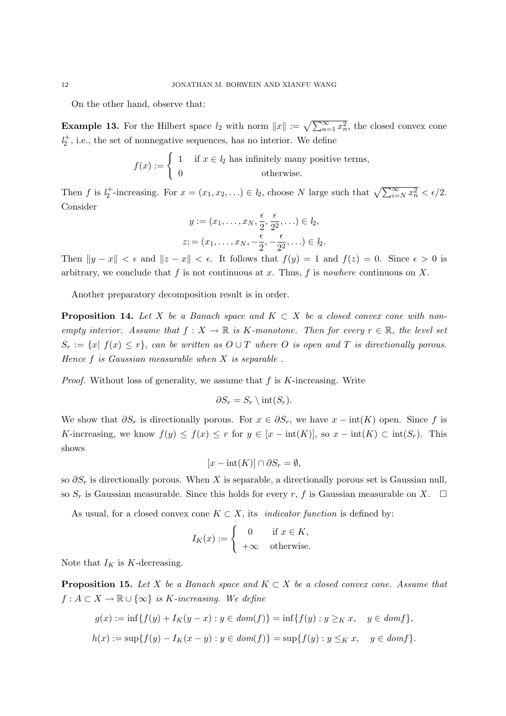On the other hand, observe that:

**Example 13.** For the Hilbert space  $l_2$  with norm  $||x|| := \sqrt{\sum_{n=1}^{\infty} x_n^2}$ , the closed convex cone  $l_2^+$  , i.e., the set of nonnegative sequences, has no interior. We define

$$
f(x) := \begin{cases} 1 & \text{if } x \in l_2 \text{ has infinitely many positive terms,} \\ 0 & \text{otherwise.} \end{cases}
$$

Then f is  $l_2^+$ -increasing. For  $x = (x_1, x_2, ...) \in l_2$ , choose N large such that  $\sqrt{\sum_{i=N}^{\infty} x_n^2} < \epsilon/2$ . Consider

$$
y := (x_1, \dots, x_N, \frac{\epsilon}{2}, \frac{\epsilon}{2^2}, \dots) \in l_2,
$$
  

$$
z := (x_1, \dots, x_N, -\frac{\epsilon}{2}, -\frac{\epsilon}{2^2}, \dots) \in l_2.
$$

Then  $||y - x|| < \epsilon$  and  $||z - x|| < \epsilon$ . It follows that  $f(y) = 1$  and  $f(z) = 0$ . Since  $\epsilon > 0$  is arbitrary, we conclude that  $f$  is not continuous at  $x$ . Thus,  $f$  is *nowhere* continuous on  $X$ .

Another preparatory decomposition result is in order.

**Proposition 14.** Let X be a Banach space and  $K \subset X$  be a closed convex cone with nonempty interior. Assume that  $f: X \to \mathbb{R}$  is K-monotone. Then for every  $r \in \mathbb{R}$ , the level set  $S_r := \{x \mid f(x) \leq r\}$ , can be written as  $O \cup T$  where O is open and T is directionally porous. Hence  $f$  is Gaussian measurable when  $X$  is separable.

*Proof.* Without loss of generality, we assume that  $f$  is  $K$ -increasing. Write

$$
\partial S_r = S_r \setminus \text{int}(S_r).
$$

We show that  $\partial S_r$  is directionally porous. For  $x \in \partial S_r$ , we have  $x - \text{int}(K)$  open. Since f is K-increasing, we know  $f(y) \leq f(x) \leq r$  for  $y \in [x - \text{int}(K)]$ , so  $x - \text{int}(K) \subset \text{int}(S_r)$ . This shows

$$
[x - \text{int}(K)] \cap \partial S_r = \emptyset,
$$

so  $\partial S_r$  is directionally porous. When X is separable, a directionally porous set is Gaussian null, so  $S_r$  is Gaussian measurable. Since this holds for every r, f is Gaussian measurable on X.  $\Box$ 

As usual, for a closed convex cone  $K \subset X$ , its *indicator function* is defined by:

$$
I_K(x) := \begin{cases} 0 & \text{if } x \in K, \\ +\infty & \text{otherwise.} \end{cases}
$$

Note that  $I_K$  is K-decreasing.

**Proposition 15.** Let X be a Banach space and  $K \subset X$  be a closed convex cone. Assume that  $f: A \subset X \to \mathbb{R} \cup {\infty}$  is K-increasing. We define

$$
g(x) := \inf\{f(y) + I_K(y - x) : y \in dom(f)\} = \inf\{f(y) : y \ge_K x, \quad y \in domf\},\
$$
  

$$
h(x) := \sup\{f(y) - I_K(x - y) : y \in dom(f)\} = \sup\{f(y) : y \le_K x, \quad y \in domf\}.
$$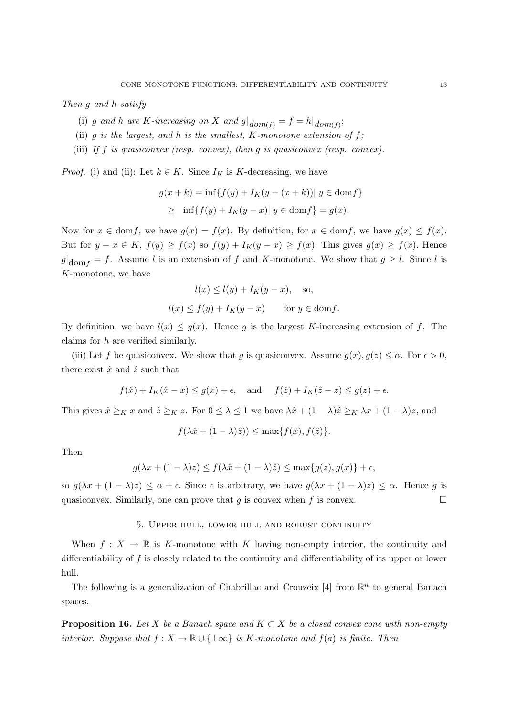Then g and h satisfy

- (i) g and h are K-increasing on X and  $g|_{dom(f)} = f = h|_{dom(f)}$ ;
- (ii) g is the largest, and h is the smallest,  $K$ -monotone extension of  $f$ ;
- (iii) If f is quasiconvex (resp. convex), then q is quasiconvex (resp. convex).

*Proof.* (i) and (ii): Let  $k \in K$ . Since  $I_K$  is K-decreasing, we have

$$
g(x + k) = \inf\{f(y) + I_K(y - (x + k)) | y \in \text{dom} f\}
$$
  
 
$$
\geq \inf\{f(y) + I_K(y - x) | y \in \text{dom} f\} = g(x).
$$

Now for  $x \in \text{dom} f$ , we have  $g(x) = f(x)$ . By definition, for  $x \in \text{dom} f$ , we have  $g(x) \leq f(x)$ . But for  $y - x \in K$ ,  $f(y) \ge f(x)$  so  $f(y) + I<sub>K</sub>(y - x) \ge f(x)$ . This gives  $g(x) \ge f(x)$ . Hence  $g|_{\text{dom } f} = f$ . Assume l is an extension of f and K-monotone. We show that  $g \geq l$ . Since l is K-monotone, we have

$$
l(x) \le l(y) + I_K(y - x), \text{ so,}
$$
  

$$
l(x) \le f(y) + I_K(y - x) \text{ for } y \in \text{dom}f.
$$

By definition, we have  $l(x) \leq g(x)$ . Hence g is the largest K-increasing extension of f. The claims for h are verified similarly.

(iii) Let f be quasiconvex. We show that g is quasiconvex. Assume  $g(x), g(z) \leq \alpha$ . For  $\epsilon > 0$ , there exist  $\hat{x}$  and  $\hat{z}$  such that

$$
f(\hat{x}) + I_K(\hat{x} - x) \le g(x) + \epsilon
$$
, and  $f(\hat{z}) + I_K(\hat{z} - z) \le g(z) + \epsilon$ .

This gives  $\hat{x} \ge_K x$  and  $\hat{z} \ge_K z$ . For  $0 \le \lambda \le 1$  we have  $\lambda \hat{x} + (1 - \lambda)\hat{z} \ge_K \lambda x + (1 - \lambda)z$ , and

$$
f(\lambda \hat{x} + (1 - \lambda)\hat{z})) \le \max\{f(\hat{x}), f(\hat{z})\}.
$$

Then

$$
g(\lambda x + (1 - \lambda)z) \le f(\lambda \hat{x} + (1 - \lambda)\hat{z}) \le \max\{g(z), g(x)\} + \epsilon,
$$

so  $g(\lambda x + (1 - \lambda)z) \leq \alpha + \epsilon$ . Since  $\epsilon$  is arbitrary, we have  $g(\lambda x + (1 - \lambda)z) \leq \alpha$ . Hence g is quasiconvex. Similarly, one can prove that g is convex when f is convex.  $\Box$ 

### 5. Upper hull, lower hull and robust continuity

When  $f: X \to \mathbb{R}$  is K-monotone with K having non-empty interior, the continuity and differentiability of f is closely related to the continuity and differentiability of its upper or lower hull.

The following is a generalization of Chabrillac and Crouzeix [4] from  $\mathbb{R}^n$  to general Banach spaces.

**Proposition 16.** Let X be a Banach space and  $K \subset X$  be a closed convex cone with non-empty interior. Suppose that  $f : X \to \mathbb{R} \cup \{\pm \infty\}$  is K-monotone and  $f(a)$  is finite. Then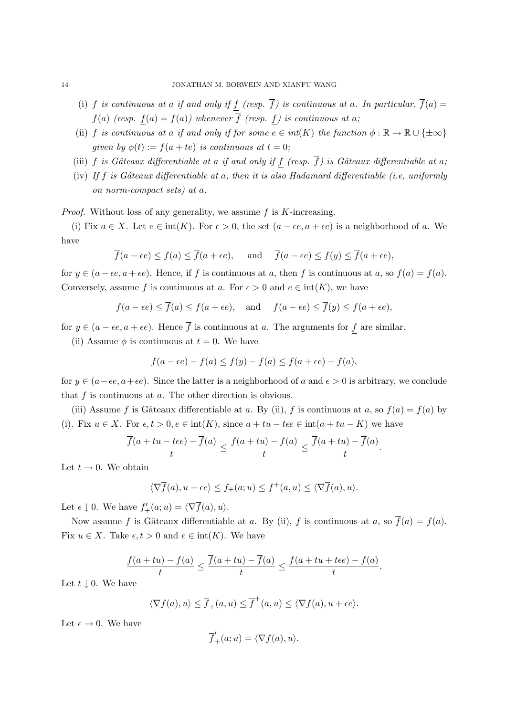- (i) f is continuous at a if and only if  $\underline{f}$  (resp.  $\overline{f}$ ) is continuous at a. In particular,  $\overline{f}(a)$  =  $f(a)$  (resp.  $f(a) = f(a)$ ) whenever  $\overline{f}$  (resp. f) is continuous at a;
- (ii) f is continuous at a if and only if for some  $e \in int(K)$  the function  $\phi : \mathbb{R} \to \mathbb{R} \cup \{\pm \infty\}$ given by  $\phi(t) := f(a + te)$  is continuous at  $t = 0$ ;
- (iii) f is Gâteaux differentiable at a if and only if f (resp.  $\overline{f}$ ) is Gâteaux differentiable at a;
- (iv) If f is Gâteaux differentiable at a, then it is also Hadamard differentiable (i.e, uniformly on norm-compact sets) at a.

*Proof.* Without loss of any generality, we assume  $f$  is  $K$ -increasing.

(i) Fix  $a \in X$ . Let  $e \in \text{int}(K)$ . For  $\epsilon > 0$ , the set  $(a - \epsilon e, a + \epsilon e)$  is a neighborhood of a. We have

$$
\overline{f}(a - \epsilon e) \le f(a) \le \overline{f}(a + \epsilon e),
$$
 and  $\overline{f}(a - \epsilon e) \le f(y) \le \overline{f}(a + \epsilon e),$ 

for  $y \in (a - \epsilon e, a + \epsilon e)$ . Hence, if  $\overline{f}$  is continuous at a, then f is continuous at a, so  $\overline{f}(a) = f(a)$ . Conversely, assume f is continuous at a. For  $\epsilon > 0$  and  $e \in \text{int}(K)$ , we have

$$
f(a - \epsilon e) \le \overline{f}(a) \le f(a + \epsilon e)
$$
, and  $f(a - \epsilon e) \le \overline{f}(y) \le f(a + \epsilon e)$ ,

for  $y \in (a - \epsilon e, a + \epsilon e)$ . Hence  $\overline{f}$  is continuous at a. The arguments for f are similar.

(ii) Assume  $\phi$  is continuous at  $t = 0$ . We have

$$
f(a - \epsilon e) - f(a) \le f(y) - f(a) \le f(a + \epsilon e) - f(a),
$$

for  $y \in (a-\epsilon e, a+\epsilon e)$ . Since the latter is a neighborhood of a and  $\epsilon > 0$  is arbitrary, we conclude that  $f$  is continuous at  $a$ . The other direction is obvious.

(iii) Assume  $\overline{f}$  is Gâteaux differentiable at a. By (ii),  $\overline{f}$  is continuous at a, so  $\overline{f}(a) = f(a)$  by (i). Fix  $u \in X$ . For  $\epsilon, t > 0, e \in \text{int}(K)$ , since  $a + tu - t\epsilon e \in \text{int}(a + tu - K)$  we have

$$
\frac{\overline{f}(a+tu-t\epsilon e)-\overline{f}(a)}{t}\leq \frac{f(a+tu)-f(a)}{t}\leq \frac{\overline{f}(a+tu)-\overline{f}(a)}{t}.
$$

Let  $t \to 0$ . We obtain

$$
\langle \nabla \overline{f}(a), u - \epsilon e \rangle \le f_+(a; u) \le f^+(a, u) \le \langle \nabla \overline{f}(a), u \rangle.
$$

Let  $\epsilon \downarrow 0$ . We have  $f'_{+}(a; u) = \langle \nabla \overline{f}(a), u \rangle$ .

Now assume f is Gâteaux differentiable at a. By (ii), f is continuous at a, so  $\overline{f}(a) = f(a)$ . Fix  $u \in X$ . Take  $\epsilon, t > 0$  and  $e \in \text{int}(K)$ . We have

$$
\frac{f(a+tu)-f(a)}{t} \le \frac{\overline{f}(a+tu)-\overline{f}(a)}{t} \le \frac{f(a+tu+t\epsilon e)-f(a)}{t}.
$$

Let  $t \downarrow 0$ . We have

$$
\langle \nabla f(a), u \rangle \le \overline{f}_+(a, u) \le \overline{f}^+(a, u) \le \langle \nabla f(a), u + \epsilon e \rangle.
$$

Let  $\epsilon \to 0$ . We have

$$
\overline{f}'_+(a;u) = \langle \nabla f(a), u \rangle.
$$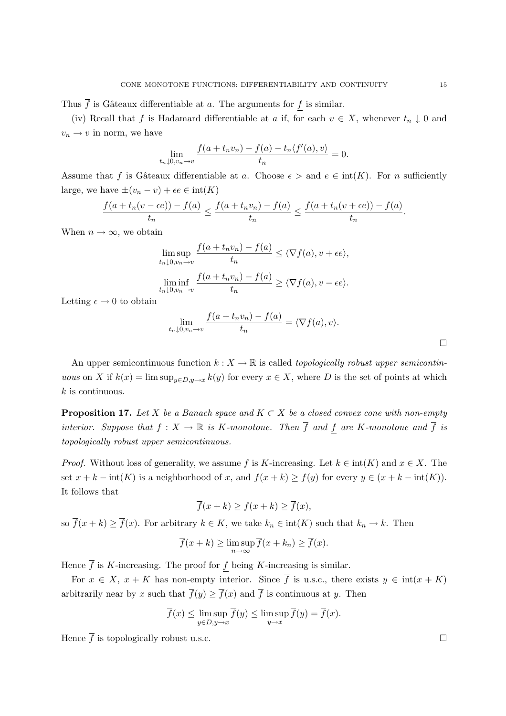Thus  $\overline{f}$  is Gâteaux differentiable at a. The arguments for  $\underline{f}$  is similar.

(iv) Recall that f is Hadamard differentiable at a if, for each  $v \in X$ , whenever  $t_n \downarrow 0$  and  $v_n \to v$  in norm, we have

$$
\lim_{t_n \downarrow 0, v_n \to v} \frac{f(a + t_n v_n) - f(a) - t_n \langle f'(a), v \rangle}{t_n} = 0.
$$

Assume that f is Gâteaux differentiable at a. Choose  $\epsilon >$  and  $e \in \text{int}(K)$ . For n sufficiently large, we have  $\pm (v_n - v) + \epsilon e \in \text{int}(K)$ 

$$
\frac{f(a+t_n(v-\epsilon e))-f(a)}{t_n}\leq \frac{f(a+t_nv_n)-f(a)}{t_n}\leq \frac{f(a+t_n(v+\epsilon e))-f(a)}{t_n}.
$$

When  $n \to \infty$ , we obtain

$$
\limsup_{t_n \downarrow 0, v_n \to v} \frac{f(a + t_n v_n) - f(a)}{t_n} \le \langle \nabla f(a), v + \epsilon e \rangle,
$$
  

$$
\liminf_{t_n \downarrow 0, v_n \to v} \frac{f(a + t_n v_n) - f(a)}{t_n} \ge \langle \nabla f(a), v - \epsilon e \rangle.
$$

Letting  $\epsilon \to 0$  to obtain

$$
\lim_{t_n \downarrow 0, v_n \to v} \frac{f(a + t_n v_n) - f(a)}{t_n} = \langle \nabla f(a), v \rangle.
$$

An upper semicontinuous function  $k : X \to \mathbb{R}$  is called *topologically robust upper semicontin*uous on X if  $k(x) = \limsup_{y \in D, y \to x} k(y)$  for every  $x \in X$ , where D is the set of points at which  $k$  is continuous.

**Proposition 17.** Let X be a Banach space and  $K \subset X$  be a closed convex cone with non-empty interior. Suppose that  $f: X \to \mathbb{R}$  is K-monotone. Then  $\overline{f}$  and f are K-monotone and  $\overline{f}$  is topologically robust upper semicontinuous.

*Proof.* Without loss of generality, we assume f is K-increasing. Let  $k \in \text{int}(K)$  and  $x \in X$ . The set  $x + k - \text{int}(K)$  is a neighborhood of x, and  $f(x + k) \ge f(y)$  for every  $y \in (x + k - \text{int}(K))$ . It follows that

$$
\overline{f}(x+k) \ge f(x+k) \ge \overline{f}(x),
$$

so  $\overline{f}(x + k) \ge \overline{f}(x)$ . For arbitrary  $k \in K$ , we take  $k_n \in \text{int}(K)$  such that  $k_n \to k$ . Then

$$
\overline{f}(x+k) \ge \limsup_{n \to \infty} \overline{f}(x+k_n) \ge \overline{f}(x).
$$

Hence  $\overline{f}$  is K-increasing. The proof for f being K-increasing is similar.

For  $x \in X$ ,  $x + K$  has non-empty interior. Since  $\overline{f}$  is u.s.c., there exists  $y \in int(x + K)$ arbitrarily near by x such that  $\overline{f}(y) \geq \overline{f}(x)$  and  $\overline{f}$  is continuous at y. Then

$$
\overline{f}(x) \le \limsup_{y \in D, y \to x} \overline{f}(y) \le \limsup_{y \to x} \overline{f}(y) = \overline{f}(x).
$$

Hence  $\overline{f}$  is topologically robust u.s.c.  $\Box$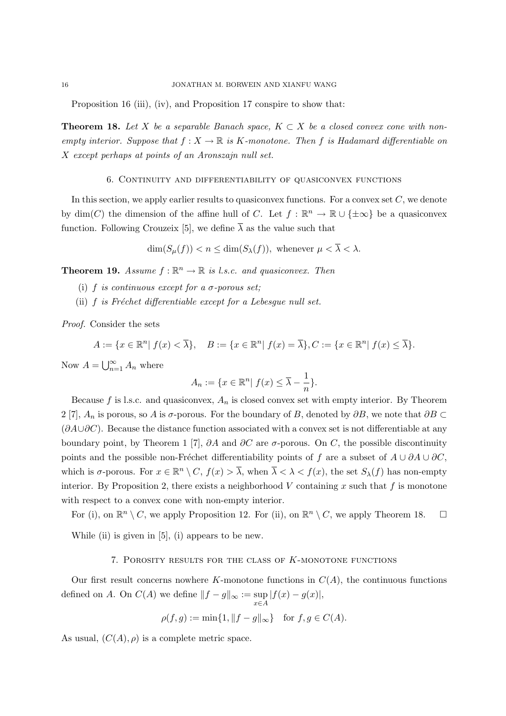Proposition 16 (iii), (iv), and Proposition 17 conspire to show that:

**Theorem 18.** Let X be a separable Banach space,  $K \subset X$  be a closed convex cone with nonempty interior. Suppose that  $f : X \to \mathbb{R}$  is K-monotone. Then f is Hadamard differentiable on X except perhaps at points of an Aronszajn null set.

#### 6. Continuity and differentiability of quasiconvex functions

In this section, we apply earlier results to quasiconvex functions. For a convex set  $C$ , we denote by  $\dim(C)$  the dimension of the affine hull of C. Let  $f : \mathbb{R}^n \to \mathbb{R} \cup {\pm \infty}$  be a quasiconvex function. Following Crouzeix [5], we define  $\overline{\lambda}$  as the value such that

$$
\dim(S_{\mu}(f)) < n \le \dim(S_{\lambda}(f)), \text{ whenever } \mu < \overline{\lambda} < \lambda.
$$

**Theorem 19.** Assume  $f : \mathbb{R}^n \to \mathbb{R}$  is l.s.c. and quasiconvex. Then

- (i) f is continuous except for a  $\sigma$ -porous set;
- (ii)  $f$  is Fréchet differentiable except for a Lebesgue null set.

Proof. Consider the sets

$$
A := \{ x \in \mathbb{R}^n \mid f(x) < \overline{\lambda} \}, \quad B := \{ x \in \mathbb{R}^n \mid f(x) = \overline{\lambda} \}, \quad C := \{ x \in \mathbb{R}^n \mid f(x) \leq \overline{\lambda} \}.
$$

Now  $A = \bigcup_{n=1}^{\infty}$  $\sum_{n=1}^{\infty} A_n$  where

$$
A_n := \{ x \in \mathbb{R}^n | f(x) \le \overline{\lambda} - \frac{1}{n} \}.
$$

Because f is l.s.c. and quasiconvex,  $A_n$  is closed convex set with empty interior. By Theorem 2 [7],  $A_n$  is porous, so A is  $\sigma$ -porous. For the boundary of B, denoted by  $\partial B$ , we note that  $\partial B \subset$  $(\partial A\cup\partial C)$ . Because the distance function associated with a convex set is not differentiable at any boundary point, by Theorem 1 [7],  $\partial A$  and  $\partial C$  are  $\sigma$ -porous. On C, the possible discontinuity points and the possible non-Fréchet differentiability points of f are a subset of  $A \cup \partial A \cup \partial C$ , which is  $\sigma$ -porous. For  $x \in \mathbb{R}^n \setminus C$ ,  $f(x) > \overline{\lambda}$ , when  $\overline{\lambda} < \lambda < f(x)$ , the set  $S_{\lambda}(f)$  has non-empty interior. By Proposition 2, there exists a neighborhood V containing x such that f is monotone with respect to a convex cone with non-empty interior.

For (i), on  $\mathbb{R}^n \setminus C$ , we apply Proposition 12. For (ii), on  $\mathbb{R}^n \setminus C$ , we apply Theorem 18.  $\Box$ 

While (ii) is given in  $[5]$ , (i) appears to be new.

#### 7. POROSITY RESULTS FOR THE CLASS OF  $K$ -MONOTONE FUNCTIONS

Our first result concerns nowhere K-monotone functions in  $C(A)$ , the continuous functions defined on A. On  $C(A)$  we define  $||f - g||_{\infty} := \sup_{x \in A}$  $|f(x) - g(x)|,$ 

$$
\rho(f, g) := \min\{1, \|f - g\|_{\infty}\} \text{ for } f, g \in C(A).
$$

As usual,  $(C(A), \rho)$  is a complete metric space.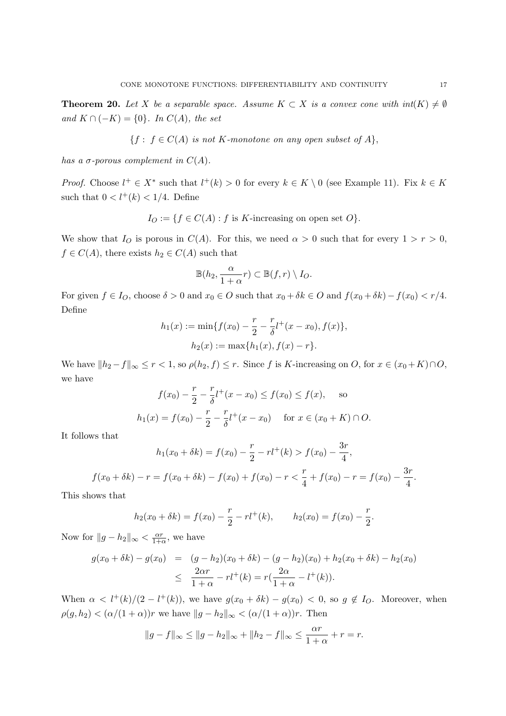**Theorem 20.** Let X be a separable space. Assume  $K \subset X$  is a convex cone with  $int(K) \neq \emptyset$ and  $K \cap (-K) = \{0\}$ . In  $C(A)$ , the set

$$
\{f : f \in C(A) \text{ is not } K\text{-monotone on any open subset of } A\},\
$$

has a  $\sigma$ -porous complement in  $C(A)$ .

*Proof.* Choose  $l^+ \in X^*$  such that  $l^+(k) > 0$  for every  $k \in K \setminus 0$  (see Example 11). Fix  $k \in K$ such that  $0 < l^+(k) < 1/4$ . Define

 $I_O := \{ f \in C(A) : f \text{ is } K\text{-increasing on open set } O \}.$ 

We show that  $I_O$  is porous in  $C(A)$ . For this, we need  $\alpha > 0$  such that for every  $1 > r > 0$ ,  $f \in C(A)$ , there exists  $h_2 \in C(A)$  such that

$$
\mathbb{B}(h_2, \frac{\alpha}{1+\alpha}r) \subset \mathbb{B}(f,r) \setminus I_O.
$$

For given  $f \in I_O$ , choose  $\delta > 0$  and  $x_0 \in O$  such that  $x_0 + \delta k \in O$  and  $f(x_0 + \delta k) - f(x_0) < r/4$ . Define

$$
h_1(x) := \min\{f(x_0) - \frac{r}{2} - \frac{r}{\delta}l^+(x - x_0), f(x)\},
$$

$$
h_2(x) := \max\{h_1(x), f(x) - r\}.
$$

We have  $||h_2 - f||_{\infty} \le r < 1$ , so  $\rho(h_2, f) \le r$ . Since f is K-increasing on O, for  $x \in (x_0 + K) \cap O$ , we have

$$
f(x_0) - \frac{r}{2} - \frac{r}{\delta}l^+(x - x_0) \le f(x_0) \le f(x), \text{ so}
$$
  

$$
h_1(x) = f(x_0) - \frac{r}{2} - \frac{r}{\delta}l^+(x - x_0) \text{ for } x \in (x_0 + K) \cap O.
$$

It follows that

$$
h_1(x_0 + \delta k) = f(x_0) - \frac{r}{2} - rl^+(k) > f(x_0) - \frac{3r}{4},
$$
  

$$
f(x_0 + \delta k) - r = f(x_0 + \delta k) - f(x_0) + f(x_0) - r < \frac{r}{4} + f(x_0) - r = f(x_0) - \frac{3r}{4}.
$$

This shows that

$$
h_2(x_0 + \delta k) = f(x_0) - \frac{r}{2} - rl^+(k), \qquad h_2(x_0) = f(x_0) - \frac{r}{2}.
$$

Now for  $||g - h_2||_{\infty} < \frac{\alpha r}{1+r}$  $\frac{\alpha r}{1+\alpha}$ , we have

$$
g(x_0 + \delta k) - g(x_0) = (g - h_2)(x_0 + \delta k) - (g - h_2)(x_0) + h_2(x_0 + \delta k) - h_2(x_0)
$$
  

$$
\leq \frac{2\alpha r}{1 + \alpha} - r l^+(k) = r(\frac{2\alpha}{1 + \alpha} - l^+(k)).
$$

When  $\alpha < l^+(k)/(2 - l^+(k))$ , we have  $g(x_0 + \delta k) - g(x_0) < 0$ , so  $g \notin I_O$ . Moreover, when  $\rho(g, h_2) < (\alpha/(1+\alpha))r$  we have  $||g - h_2||_{\infty} < (\alpha/(1+\alpha))r$ . Then

$$
||g - f||_{\infty} \le ||g - h_2||_{\infty} + ||h_2 - f||_{\infty} \le \frac{\alpha r}{1 + \alpha} + r = r.
$$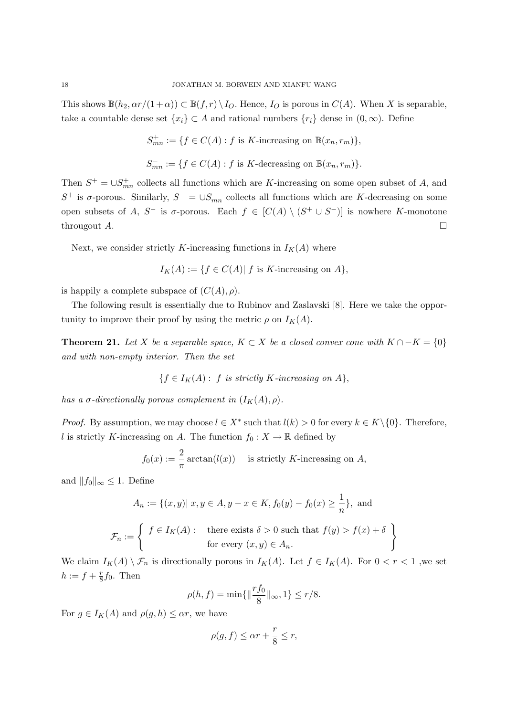This shows  $\mathbb{B}(h_2, \alpha r/(1+\alpha)) \subset \mathbb{B}(f,r) \setminus I_O$ . Hence,  $I_O$  is porous in  $C(A)$ . When X is separable, take a countable dense set  $\{x_i\} \subset A$  and rational numbers  $\{r_i\}$  dense in  $(0, \infty)$ . Define

$$
S_{mn}^+ := \{ f \in C(A) : f \text{ is } K\text{-increasing on } \mathbb{B}(x_n, r_m) \},
$$
  

$$
S_{mn}^- := \{ f \in C(A) : f \text{ is } K\text{-decreasing on } \mathbb{B}(x_n, r_m) \}.
$$

Then  $S^+ = \cup S^+_{mn}$  collects all functions which are K-increasing on some open subset of A, and S<sup>+</sup> is  $\sigma$ -porous. Similarly,  $S^- = \cup S_{mn}^-$  collects all functions which are K-decreasing on some open subsets of A, S<sup>-</sup> is  $\sigma$ -porous. Each  $f \in [C(A) \setminus (S^+ \cup S^-)]$  is nowhere K-monotone througout A.  $\Box$ 

Next, we consider strictly K-increasing functions in  $I_K(A)$  where

$$
I_K(A) := \{ f \in C(A) | f \text{ is } K\text{-increasing on } A \},
$$

is happily a complete subspace of  $(C(A), \rho)$ .

The following result is essentially due to Rubinov and Zaslavski [8]. Here we take the opportunity to improve their proof by using the metric  $\rho$  on  $I_K(A)$ .

**Theorem 21.** Let X be a separable space,  $K \subset X$  be a closed convex cone with  $K \cap -K = \{0\}$ and with non-empty interior. Then the set

$$
\{f \in I_K(A): f \text{ is strictly } K\text{-increasing on } A\},\
$$

has a  $\sigma$ -directionally porous complement in  $(I_K(A), \rho)$ .

*Proof.* By assumption, we may choose  $l \in X^*$  such that  $l(k) > 0$  for every  $k \in K \setminus \{0\}$ . Therefore, l is strictly K-increasing on A. The function  $f_0 : X \to \mathbb{R}$  defined by

$$
f_0(x) := \frac{2}{\pi} \arctan(l(x))
$$
 is strictly K-increasing on A,

and  $||f_0||_{\infty} \leq 1$ . Define

$$
A_n := \{(x, y) | x, y \in A, y - x \in K, f_0(y) - f_0(x) \ge \frac{1}{n}\},\text{ and}
$$

$$
\mathcal{F}_n := \left\{ \begin{array}{l} f \in I_K(A): \text{ there exists } \delta > 0 \text{ such that } f(y) > f(x) + \delta \\ \text{ for every } (x, y) \in A_n. \end{array} \right\}
$$

We claim  $I_K(A) \setminus \mathcal{F}_n$  is directionally porous in  $I_K(A)$ . Let  $f \in I_K(A)$ . For  $0 < r < 1$ , we set  $h := f + \frac{r}{8}$  $\frac{r}{8}f_0$ . Then

$$
\rho(h, f) = \min\{\|\frac{rf_0}{8}\|_{\infty}, 1\} \le r/8.
$$

For  $g \in I_K(A)$  and  $\rho(g, h) \leq \alpha r$ , we have

$$
\rho(g, f) \le \alpha r + \frac{r}{8} \le r,
$$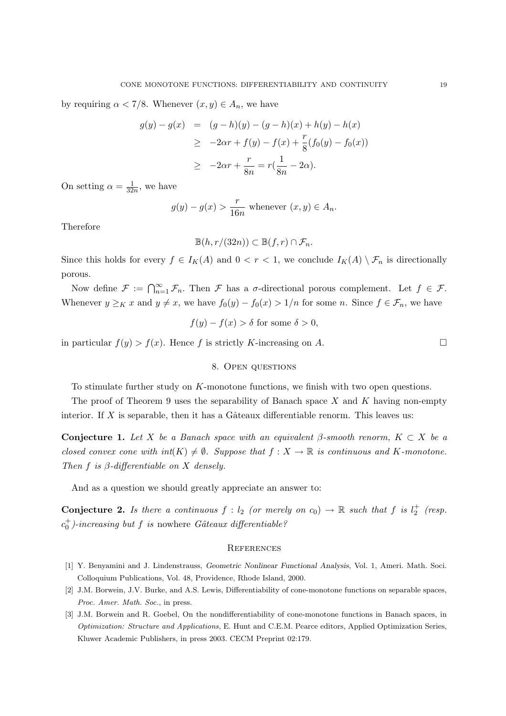by requiring  $\alpha < 7/8$ . Whenever  $(x, y) \in A_n$ , we have

$$
g(y) - g(x) = (g - h)(y) - (g - h)(x) + h(y) - h(x)
$$
  
\n
$$
\geq -2\alpha r + f(y) - f(x) + \frac{r}{8}(f_0(y) - f_0(x))
$$
  
\n
$$
\geq -2\alpha r + \frac{r}{8n} = r(\frac{1}{8n} - 2\alpha).
$$

On setting  $\alpha = \frac{1}{32}$  $\frac{1}{32n}$ , we have

$$
g(y) - g(x) > \frac{r}{16n}
$$
 whenever  $(x, y) \in A_n$ .

Therefore

$$
\mathbb{B}(h,r/(32n)) \subset \mathbb{B}(f,r) \cap \mathcal{F}_n.
$$

Since this holds for every  $f \in I_K(A)$  and  $0 < r < 1$ , we conclude  $I_K(A) \setminus \mathcal{F}_n$  is directionally porous.

Now define  $\mathcal{F} := \bigcap_{n=1}^{\infty} \mathcal{F}_n$ . Then  $\mathcal{F}$  has a  $\sigma$ -directional porous complement. Let  $f \in \mathcal{F}$ . Whenever  $y \geq_K x$  and  $y \neq x$ , we have  $f_0(y) - f_0(x) > 1/n$  for some n. Since  $f \in \mathcal{F}_n$ , we have

$$
f(y) - f(x) > \delta
$$
 for some  $\delta > 0$ ,

in particular  $f(y) > f(x)$ . Hence f is strictly K-increasing on A.

## 8. Open questions

To stimulate further study on K-monotone functions, we finish with two open questions.

The proof of Theorem 9 uses the separability of Banach space  $X$  and  $K$  having non-empty interior. If X is separable, then it has a Gâteaux differentiable renorm. This leaves us:

Conjecture 1. Let X be a Banach space with an equivalent β-smooth renorm,  $K \subset X$  be a closed convex cone with  $int(K) \neq \emptyset$ . Suppose that  $f : X \to \mathbb{R}$  is continuous and K-monotone. Then f is  $\beta$ -differentiable on X densely.

And as a question we should greatly appreciate an answer to:

**Conjecture 2.** Is there a continuous  $f: l_2$  (or merely on  $c_0$ )  $\rightarrow \mathbb{R}$  such that f is  $l_2^+$  (resp.  $c_0^+$ )-increasing but f is nowhere Gâteaux differentiable?

#### **REFERENCES**

- [1] Y. Benyamini and J. Lindenstrauss, Geometric Nonlinear Functional Analysis, Vol. 1, Ameri. Math. Soci. Colloquium Publications, Vol. 48, Providence, Rhode Island, 2000.
- [2] J.M. Borwein, J.V. Burke, and A.S. Lewis, Differentiability of cone-monotone functions on separable spaces, Proc. Amer. Math. Soc., in press.
- [3] J.M. Borwein and R. Goebel, On the nondifferentiability of cone-monotone functions in Banach spaces, in Optimization: Structure and Applications, E. Hunt and C.E.M. Pearce editors, Applied Optimization Series, Kluwer Academic Publishers, in press 2003. CECM Preprint 02:179.